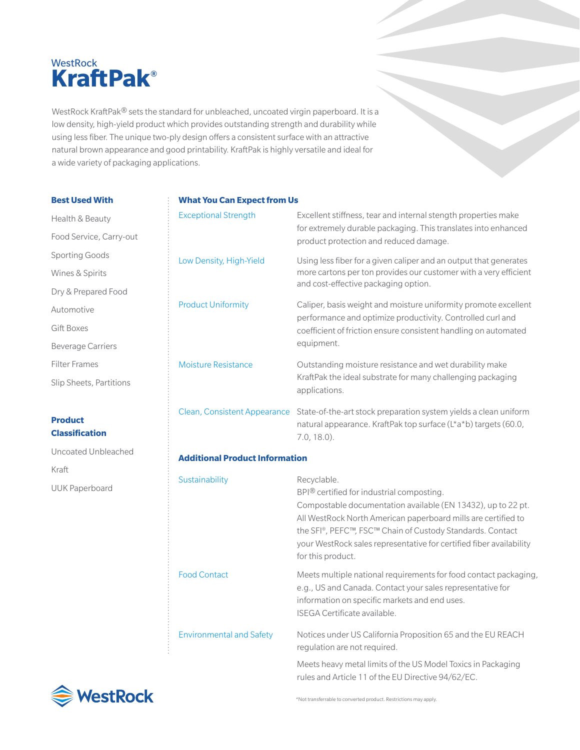## **WestRock KraftPak®**

WestRock KraftPak® sets the standard for unbleached, uncoated virgin paperboard. It is a low density, high-yield product which provides outstanding strength and durability while using less fiber. The unique two-ply design offers a consistent surface with an attractive natural brown appearance and good printability. KraftPak is highly versatile and ideal for a wide variety of packaging applications.

| <b>Best Used With</b>                   | <b>What You Can Expect from Us</b>    |                                                                                                                                                       |  |  |  |  |  |  |
|-----------------------------------------|---------------------------------------|-------------------------------------------------------------------------------------------------------------------------------------------------------|--|--|--|--|--|--|
| Health & Beauty                         | <b>Exceptional Strength</b>           | Excellent stiffness, tear and internal stength properties make                                                                                        |  |  |  |  |  |  |
| Food Service, Carry-out                 |                                       | for extremely durable packaging. This translates into enhanced<br>product protection and reduced damage.                                              |  |  |  |  |  |  |
| <b>Sporting Goods</b>                   | Low Density, High-Yield               | Using less fiber for a given caliper and an output that generates                                                                                     |  |  |  |  |  |  |
| Wines & Spirits                         |                                       | more cartons per ton provides our customer with a very efficient                                                                                      |  |  |  |  |  |  |
| Dry & Prepared Food                     |                                       | and cost-effective packaging option.                                                                                                                  |  |  |  |  |  |  |
| Automotive                              | <b>Product Uniformity</b>             | Caliper, basis weight and moisture uniformity promote excellent<br>performance and optimize productivity. Controlled curl and                         |  |  |  |  |  |  |
| <b>Gift Boxes</b>                       |                                       | coefficient of friction ensure consistent handling on automated                                                                                       |  |  |  |  |  |  |
| <b>Beverage Carriers</b>                |                                       | equipment.                                                                                                                                            |  |  |  |  |  |  |
| <b>Filter Frames</b>                    | <b>Moisture Resistance</b>            | Outstanding moisture resistance and wet durability make                                                                                               |  |  |  |  |  |  |
| Slip Sheets, Partitions                 |                                       | KraftPak the ideal substrate for many challenging packaging<br>applications.                                                                          |  |  |  |  |  |  |
| <b>Product</b><br><b>Classification</b> | Clean, Consistent Appearance          | State-of-the-art stock preparation system yields a clean uniform<br>natural appearance. KraftPak top surface (L*a*b) targets (60.0,<br>$7.0, 18.0$ ). |  |  |  |  |  |  |
| Uncoated Unbleached                     | <b>Additional Product Information</b> |                                                                                                                                                       |  |  |  |  |  |  |
| Kraft                                   |                                       |                                                                                                                                                       |  |  |  |  |  |  |
| <b>UUK Paperboard</b>                   | Sustainability                        | Recyclable.<br>BPI® certified for industrial composting.                                                                                              |  |  |  |  |  |  |

| <b>Additional Product Information</b> |                                                                                                                                                                                                                                                                                                                                                                 |  |  |  |  |  |  |  |
|---------------------------------------|-----------------------------------------------------------------------------------------------------------------------------------------------------------------------------------------------------------------------------------------------------------------------------------------------------------------------------------------------------------------|--|--|--|--|--|--|--|
| <b>Sustainability</b>                 | Recyclable.<br>$BPI^{\circledR}$ certified for industrial composting.<br>Compostable documentation available (EN 13432), up to 22 pt.<br>All WestRock North American paperboard mills are certified to<br>the SFI®, PEFC™, FSC™ Chain of Custody Standards. Contact<br>your WestRock sales representative for certified fiber availability<br>for this product. |  |  |  |  |  |  |  |
| <b>Food Contact</b>                   | Meets multiple national requirements for food contact packaging,<br>e.g., US and Canada. Contact your sales representative for<br>information on specific markets and end uses.<br>ISEGA Certificate available.                                                                                                                                                 |  |  |  |  |  |  |  |
| <b>Environmental and Safety</b>       | Notices under US California Proposition 65 and the EU REACH<br>regulation are not required.                                                                                                                                                                                                                                                                     |  |  |  |  |  |  |  |
|                                       | Meets heavy metal limits of the US Model Toxics in Packaging<br>rules and Article 11 of the EU Directive 94/62/EC.                                                                                                                                                                                                                                              |  |  |  |  |  |  |  |



\*Not transferrable to converted product. Restrictions may apply.